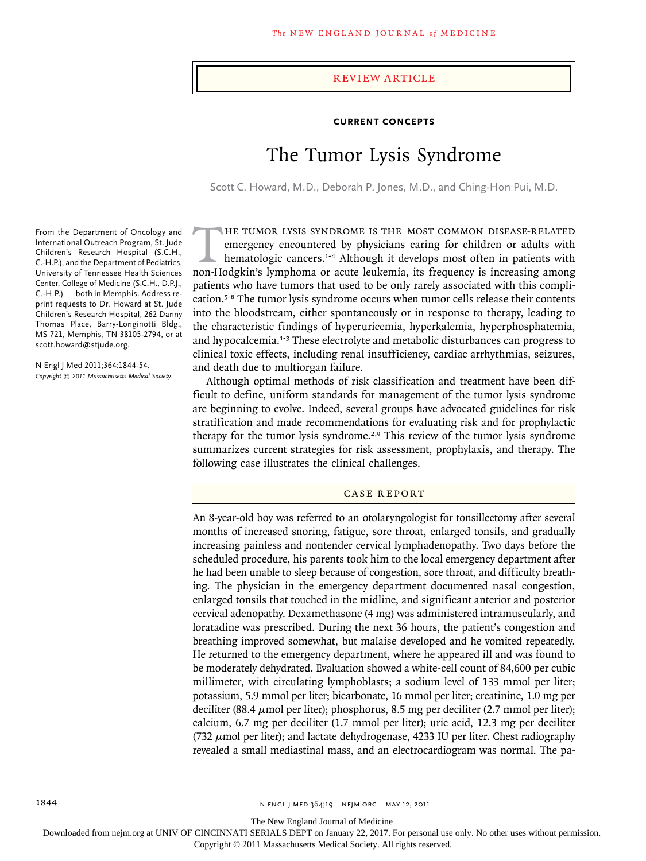### review article

## **current concepts**

# The Tumor Lysis Syndrome

Scott C. Howard, M.D., Deborah P. Jones, M.D., and Ching-Hon Pui, M.D.

HE TUMOR LYSIS SYNDROME IS THE MOST COMMON DISEASE-RELATED<br>emergency encountered by physicians caring for children or adults with<br>hematologic cancers.<sup>1-4</sup> Although it develops most often in patients with<br>non-Hodgkin's lym emergency encountered by physicians caring for children or adults with hematologic cancers.<sup>1-4</sup> Although it develops most often in patients with non-Hodgkin's lymphoma or acute leukemia, its frequency is increasing among patients who have tumors that used to be only rarely associated with this complication.5-8 The tumor lysis syndrome occurs when tumor cells release their contents into the bloodstream, either spontaneously or in response to therapy, leading to the characteristic findings of hyperuricemia, hyperkalemia, hyperphosphatemia, and hypocalcemia.1-3 These electrolyte and metabolic disturbances can progress to clinical toxic effects, including renal insufficiency, cardiac arrhythmias, seizures, and death due to multiorgan failure.

Although optimal methods of risk classification and treatment have been difficult to define, uniform standards for management of the tumor lysis syndrome are beginning to evolve. Indeed, several groups have advocated guidelines for risk stratification and made recommendations for evaluating risk and for prophylactic therapy for the tumor lysis syndrome.<sup>2,9</sup> This review of the tumor lysis syndrome summarizes current strategies for risk assessment, prophylaxis, and therapy. The following case illustrates the clinical challenges.

## CASE REPORT

An 8-year-old boy was referred to an otolaryngologist for tonsillectomy after several months of increased snoring, fatigue, sore throat, enlarged tonsils, and gradually increasing painless and nontender cervical lymphadenopathy. Two days before the scheduled procedure, his parents took him to the local emergency department after he had been unable to sleep because of congestion, sore throat, and difficulty breathing. The physician in the emergency department documented nasal congestion, enlarged tonsils that touched in the midline, and significant anterior and posterior cervical adenopathy. Dexamethasone (4 mg) was administered intramuscularly, and loratadine was prescribed. During the next 36 hours, the patient's congestion and breathing improved somewhat, but malaise developed and he vomited repeatedly. He returned to the emergency department, where he appeared ill and was found to be moderately dehydrated. Evaluation showed a white-cell count of 84,600 per cubic millimeter, with circulating lymphoblasts; a sodium level of 133 mmol per liter; potassium, 5.9 mmol per liter; bicarbonate, 16 mmol per liter; creatinine, 1.0 mg per deciliter (88.4  $\mu$ mol per liter); phosphorus, 8.5 mg per deciliter (2.7 mmol per liter); calcium, 6.7 mg per deciliter (1.7 mmol per liter); uric acid, 12.3 mg per deciliter (732  $\mu$ mol per liter); and lactate dehydrogenase, 4233 IU per liter. Chest radiography revealed a small mediastinal mass, and an electrocardiogram was normal. The pa-

From the Department of Oncology and International Outreach Program, St. Jude Children's Research Hospital (S.C.H., C.-H.P.), and the Department of Pediatrics, University of Tennessee Health Sciences Center, College of Medicine (S.C.H., D.P.J., C.-H.P.) — both in Memphis. Address reprint requests to Dr. Howard at St. Jude Children's Research Hospital, 262 Danny Thomas Place, Barry-Longinotti Bldg., MS 721, Memphis, TN 38105-2794, or at scott.howard@stjude.org.

N Engl J Med 2011;364:1844-54. *Copyright © 2011 Massachusetts Medical Society.*

1844 **1844** N ENGL J MED 364;19 NEJM.ORG MAY 12, 2011

The New England Journal of Medicine

Downloaded from nejm.org at UNIV OF CINCINNATI SERIALS DEPT on January 22, 2017. For personal use only. No other uses without permission.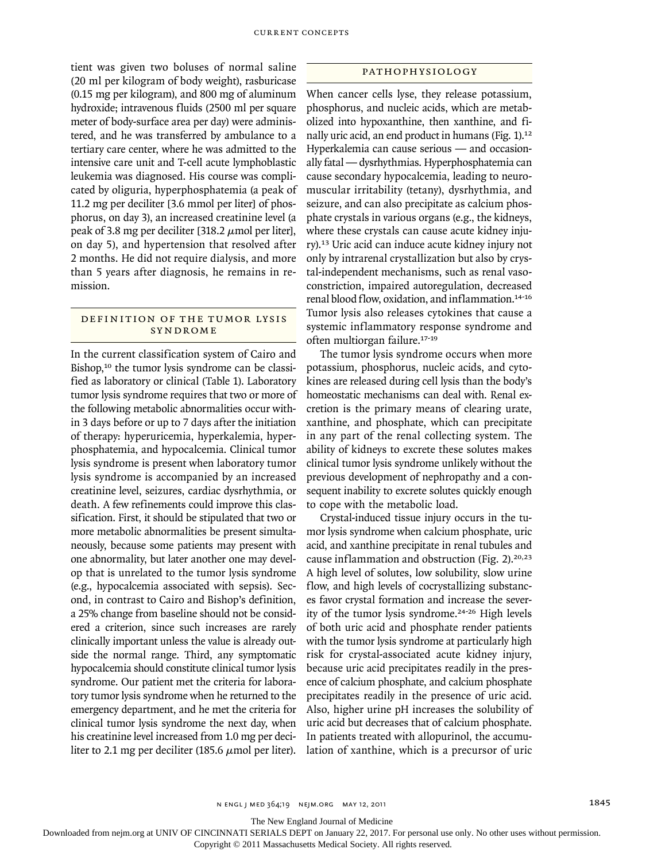tient was given two boluses of normal saline (20 ml per kilogram of body weight), rasburicase (0.15 mg per kilogram), and 800 mg of aluminum hydroxide; intravenous fluids (2500 ml per square meter of body-surface area per day) were administered, and he was transferred by ambulance to a tertiary care center, where he was admitted to the intensive care unit and T-cell acute lymphoblastic leukemia was diagnosed. His course was complicated by oliguria, hyperphosphatemia (a peak of 11.2 mg per deciliter [3.6 mmol per liter] of phosphorus, on day 3), an increased creatinine level (a peak of 3.8 mg per deciliter [318.2  $\mu$ mol per liter], on day 5), and hypertension that resolved after 2 months. He did not require dialysis, and more than 5 years after diagnosis, he remains in remission.

# DEFINITION OF THE TUMOR LYSIS **SYNDROME**

In the current classification system of Cairo and Bishop,10 the tumor lysis syndrome can be classified as laboratory or clinical (Table 1). Laboratory tumor lysis syndrome requires that two or more of the following metabolic abnormalities occur within 3 days before or up to 7 days after the initiation of therapy: hyperuricemia, hyperkalemia, hyperphosphatemia, and hypocalcemia. Clinical tumor lysis syndrome is present when laboratory tumor lysis syndrome is accompanied by an increased creatinine level, seizures, cardiac dysrhythmia, or death. A few refinements could improve this classification. First, it should be stipulated that two or more metabolic abnormalities be present simultaneously, because some patients may present with one abnormality, but later another one may develop that is unrelated to the tumor lysis syndrome (e.g., hypocalcemia associated with sepsis). Second, in contrast to Cairo and Bishop's definition, a 25% change from baseline should not be considered a criterion, since such increases are rarely clinically important unless the value is already outside the normal range. Third, any symptomatic hypocalcemia should constitute clinical tumor lysis syndrome. Our patient met the criteria for laboratory tumor lysis syndrome when he returned to the emergency department, and he met the criteria for clinical tumor lysis syndrome the next day, when his creatinine level increased from 1.0 mg per deciliter to 2.1 mg per deciliter (185.6  $\mu$ mol per liter).

## PATHOPHYSIOLOGY

When cancer cells lyse, they release potassium, phosphorus, and nucleic acids, which are metabolized into hypoxanthine, then xanthine, and finally uric acid, an end product in humans (Fig. 1).<sup>12</sup> Hyperkalemia can cause serious — and occasionally fatal — dysrhythmias. Hyperphosphatemia can cause secondary hypocalcemia, leading to neuromuscular irritability (tetany), dysrhythmia, and seizure, and can also precipitate as calcium phosphate crystals in various organs (e.g., the kidneys, where these crystals can cause acute kidney injury).13 Uric acid can induce acute kidney injury not only by intrarenal crystallization but also by crystal-independent mechanisms, such as renal vasoconstriction, impaired autoregulation, decreased renal blood flow, oxidation, and inflammation.14-16 Tumor lysis also releases cytokines that cause a systemic inflammatory response syndrome and often multiorgan failure.17-19

The tumor lysis syndrome occurs when more potassium, phosphorus, nucleic acids, and cytokines are released during cell lysis than the body's homeostatic mechanisms can deal with. Renal excretion is the primary means of clearing urate, xanthine, and phosphate, which can precipitate in any part of the renal collecting system. The ability of kidneys to excrete these solutes makes clinical tumor lysis syndrome unlikely without the previous development of nephropathy and a consequent inability to excrete solutes quickly enough to cope with the metabolic load.

Crystal-induced tissue injury occurs in the tumor lysis syndrome when calcium phosphate, uric acid, and xanthine precipitate in renal tubules and cause inflammation and obstruction (Fig. 2).<sup>20,23</sup> A high level of solutes, low solubility, slow urine flow, and high levels of cocrystallizing substances favor crystal formation and increase the severity of the tumor lysis syndrome.<sup>24-26</sup> High levels of both uric acid and phosphate render patients with the tumor lysis syndrome at particularly high risk for crystal-associated acute kidney injury, because uric acid precipitates readily in the presence of calcium phosphate, and calcium phosphate precipitates readily in the presence of uric acid. Also, higher urine pH increases the solubility of uric acid but decreases that of calcium phosphate. In patients treated with allopurinol, the accumulation of xanthine, which is a precursor of uric

The New England Journal of Medicine

Downloaded from nejm.org at UNIV OF CINCINNATI SERIALS DEPT on January 22, 2017. For personal use only. No other uses without permission.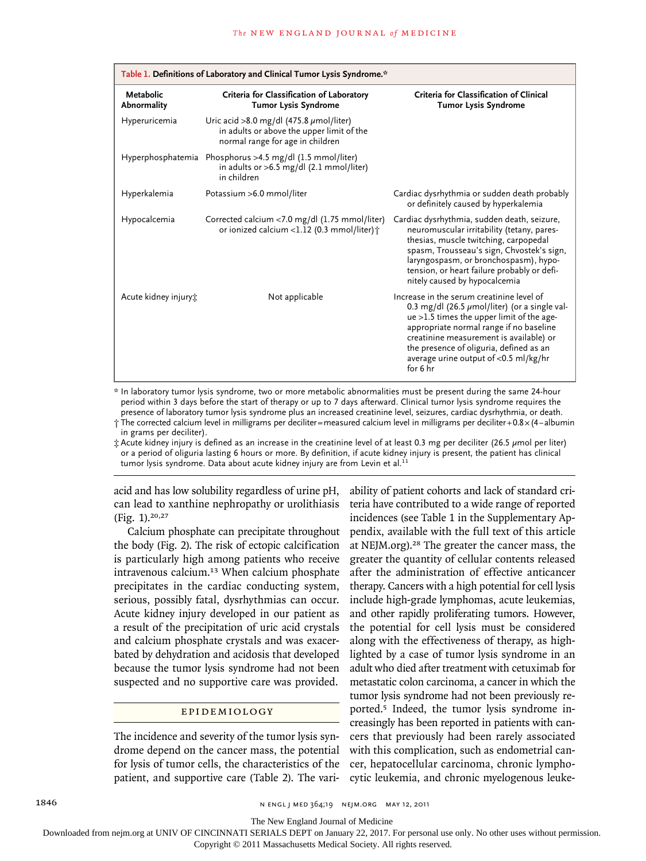|                          | Table 1. Definitions of Laboratory and Clinical Tumor Lysis Syndrome.*                                                         |                                                                                                                                                                                                                                                                                                                                       |
|--------------------------|--------------------------------------------------------------------------------------------------------------------------------|---------------------------------------------------------------------------------------------------------------------------------------------------------------------------------------------------------------------------------------------------------------------------------------------------------------------------------------|
| Metabolic<br>Abnormality | Criteria for Classification of Laboratory<br><b>Tumor Lysis Syndrome</b>                                                       | Criteria for Classification of Clinical<br><b>Tumor Lysis Syndrome</b>                                                                                                                                                                                                                                                                |
| Hyperuricemia            | Uric acid > 8.0 mg/dl $(475.8 \mu$ mol/liter)<br>in adults or above the upper limit of the<br>normal range for age in children |                                                                                                                                                                                                                                                                                                                                       |
|                          | Hyperphosphatemia Phosphorus >4.5 mg/dl (1.5 mmol/liter)<br>in adults or $>6.5$ mg/dl (2.1 mmol/liter)<br>in children          |                                                                                                                                                                                                                                                                                                                                       |
| Hyperkalemia             | Potassium >6.0 mmol/liter                                                                                                      | Cardiac dysrhythmia or sudden death probably<br>or definitely caused by hyperkalemia                                                                                                                                                                                                                                                  |
| Hypocalcemia             | Corrected calcium <7.0 mg/dl (1.75 mmol/liter)<br>or ionized calcium <1.12 (0.3 mmol/liter) +                                  | Cardiac dysrhythmia, sudden death, seizure,<br>neuromuscular irritability (tetany, pares-<br>thesias, muscle twitching, carpopedal<br>spasm, Trousseau's sign, Chvostek's sign,<br>laryngospasm, or bronchospasm), hypo-<br>tension, or heart failure probably or defi-<br>nitely caused by hypocalcemia                              |
| Acute kidney injury:     | Not applicable                                                                                                                 | Increase in the serum creatinine level of<br>0.3 mg/dl (26.5 $\mu$ mol/liter) (or a single val-<br>$ue > 1.5$ times the upper limit of the age-<br>appropriate normal range if no baseline<br>creatinine measurement is available) or<br>the presence of oliguria, defined as an<br>average urine output of <0.5 ml/kg/hr<br>for 6 hr |

\* In laboratory tumor lysis syndrome, two or more metabolic abnormalities must be present during the same 24-hour period within 3 days before the start of therapy or up to 7 days afterward. Clinical tumor lysis syndrome requires the presence of laboratory tumor lysis syndrome plus an increased creatinine level, seizures, cardiac dysrhythmia, or death.

† The corrected calcium level in milligrams per deciliter=measured calcium level in milligrams per deciliter+0.8×(4−albumin in grams per deciliter).

‡ Acute kidney injury is defined as an increase in the creatinine level of at least 0.3 mg per deciliter (26.5 μmol per liter) or a period of oliguria lasting 6 hours or more. By definition, if acute kidney injury is present, the patient has clinical tumor lysis syndrome. Data about acute kidney injury are from Levin et al.<sup>11</sup>

acid and has low solubility regardless of urine pH, can lead to xanthine nephropathy or urolithiasis (Fig. 1).20,27

Calcium phosphate can precipitate throughout the body (Fig. 2). The risk of ectopic calcification is particularly high among patients who receive intravenous calcium.13 When calcium phosphate precipitates in the cardiac conducting system, serious, possibly fatal, dysrhythmias can occur. Acute kidney injury developed in our patient as a result of the precipitation of uric acid crystals and calcium phosphate crystals and was exacerbated by dehydration and acidosis that developed because the tumor lysis syndrome had not been suspected and no supportive care was provided.

## Epidemiol o gy

The incidence and severity of the tumor lysis syndrome depend on the cancer mass, the potential for lysis of tumor cells, the characteristics of the patient, and supportive care (Table 2). The variability of patient cohorts and lack of standard criteria have contributed to a wide range of reported incidences (see Table 1 in the Supplementary Appendix, available with the full text of this article at NEJM.org).28 The greater the cancer mass, the greater the quantity of cellular contents released after the administration of effective anticancer therapy. Cancers with a high potential for cell lysis include high-grade lymphomas, acute leukemias, and other rapidly proliferating tumors. However, the potential for cell lysis must be considered along with the effectiveness of therapy, as highlighted by a case of tumor lysis syndrome in an adult who died after treatment with cetuximab for metastatic colon carcinoma, a cancer in which the tumor lysis syndrome had not been previously reported.5 Indeed, the tumor lysis syndrome increasingly has been reported in patients with cancers that previously had been rarely associated with this complication, such as endometrial cancer, hepatocellular carcinoma, chronic lymphocytic leukemia, and chronic myelogenous leuke-

1846 **1846** n engl j med 364;19 nejm.org may 12, 2011

The New England Journal of Medicine

Downloaded from nejm.org at UNIV OF CINCINNATI SERIALS DEPT on January 22, 2017. For personal use only. No other uses without permission.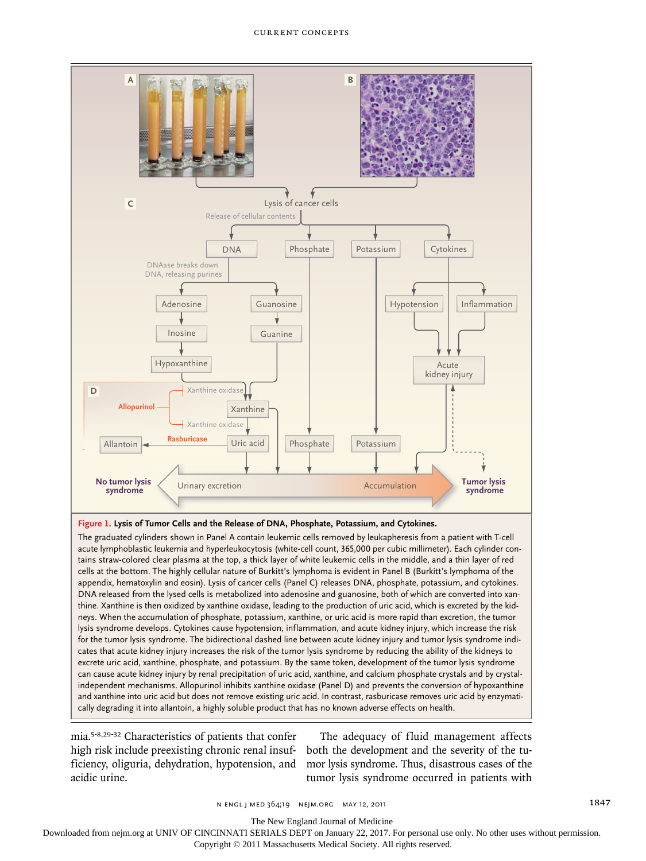

### **Figure 1. Lysis of Tumor Cells and the Release of DNA, Phosphate, Potassium, and Cytokines.**

tains straw-colored clear plasma at the top, a thick layer of white leukemic cells in the middle, and a thin layer of red DNA released from the lysed cells is metabolized into adenosine and guanosine, both of which are converted into xanappendix, hematoxylin and eosin). Lysis of cancer cells (Panel C) releases DNA, phosphate, potassium, and cytokines. The graduated cylinders shown in Panel A contain leukemic cells removed by leukapheresis from a patient with T-cell AUTHOR PLACE neys. When the accumulation of phosphate, potassium, xanthine, or uric acid is more rapid than excretion, the tumor neys which are assummation of prospease, possessing matricing of the search moderal prince such as sense, the<br>Iysis syndrome develops. Cytokines cause hypotension, inflammation, and acute kidney injury, which increase the acute lymphoblastic leukemia and hyperleukocytosis (white-cell count, 365,000 per cubic millimeter). Each cylinder con-Title cells at the bottom. The highly cellular nature of Burkitt's lymphoma is evident in Panel B (Burkitt's lymphoma of the Artist Knoper thine. Xanthine is then oxidized by xanthine oxidase, leading to the production of uric acid, which is excreted by the kidfor the tumor lysis syndrome. The bidirectional dashed line between acute kidney injury and tumor lysis syndrome indicates that acute kidney injury increases the risk of the tumor lysis syndrome by reducing the ability of the kidneys to excrete uric acid, xanthine, phosphate, and potassium. By the same token, development of the tumor lysis syndrome can cause acute kidney injury by renal precipitation of uric acid, xanthine, and calcium phosphate crystals and by crystalindependent mechanisms. Allopurinol inhibits xanthine oxidase (Panel D) and prevents the conversion of hypoxanthine and xanthine into uric acid but does not remove existing uric acid. In contrast, rasburicase removes uric acid by enzymatically degrading it into allantoin, a highly soluble product that has no known adverse effects on health.

mia.5-8,29-32 Characteristics of patients that confer high risk include preexisting chronic renal insufficiency, oliguria, dehydration, hypotension, and acidic urine.

The adequacy of fluid management affects both the development and the severity of the tumor lysis syndrome. Thus, disastrous cases of the tumor lysis syndrome occurred in patients with

n ENGL J MED 364;19 NEJM.ORG MAY 12, 2011 1847

The New England Journal of Medicine

Downloaded from nejm.org at UNIV OF CINCINNATI SERIALS DEPT on January 22, 2017. For personal use only. No other uses without permission.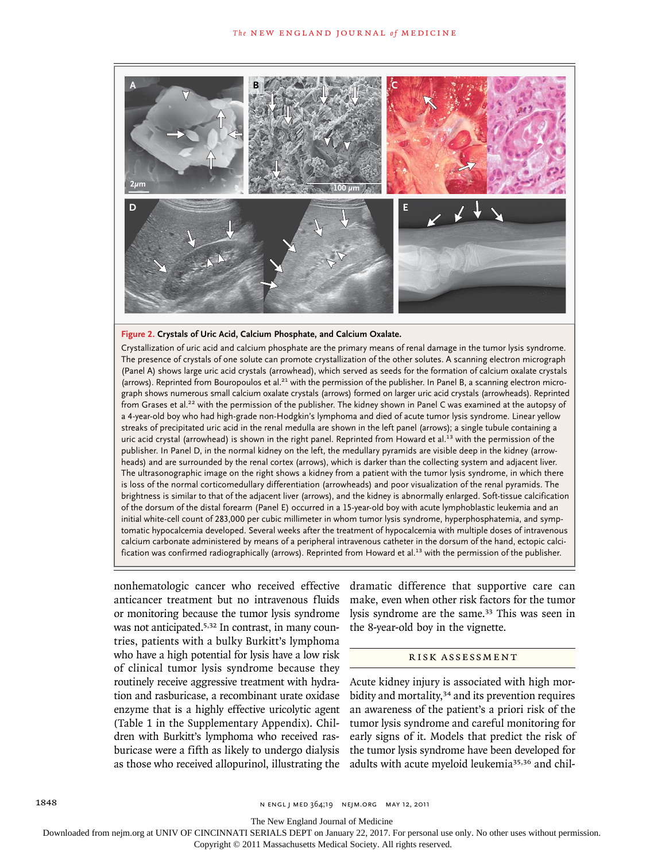

#### **Figure 2. Crystals of Uric Acid, Calcium Phosphate, and Calcium Oxalate.**

Crystallization of uric acid and calcium phosphate are the primary means of renal damage in the tumor lysis syndrome. The presence of crystals of one solute can promote crystallization of the other solutes. A scanning electron micrograph (Panel A) shows large uric acid crystals (arrowhead), which served as seeds for the formation of calcium oxalate crystals (arrows). Reprinted from Bouropoulos et al.<sup>21</sup> with the permission of the publisher. In Panel B, a scanning electron micrograph shows numerous small calcium oxalate crystals (arrows) formed on larger uric acid crystals (arrowheads). Reprinted from Grases et al.<sup>22</sup> with the permission of the publisher. The kidney shown in Panel C was examined at the autopsy of a 4-year-old boy who had high-grade non-Hodgkin's lymphoma and died of acute tumor lysis syndrome. Linear yellow streaks of precipitated uric acid in the renal medulla are shown in the left panel (arrows); a single tubule containing a uric acid crystal (arrowhead) is shown in the right panel. Reprinted from Howard et al.<sup>13</sup> with the permission of the publisher. In Panel D, in the normal kidney on the left, the medullary pyramids are visible deep in the kidney (arrowheads) and are surrounded by the renal cortex (arrows), which is darker than the collecting system and adjacent liver. The ultrasonographic image on the right shows a kidney from a patient with the tumor lysis syndrome, in which there is loss of the normal corticomedullary differentiation (arrowheads) and poor visualization of the renal pyramids. The brightness is similar to that of the adjacent liver (arrows), and the kidney is abnormally enlarged. Soft-tissue calcification of the dorsum of the distal forearm (Panel E) occurred in a 15-year-old boy with acute lymphoblastic leukemia and an initial white-cell count of 283,000 per cubic millimeter in whom tumor lysis syndrome, hyperphosphatemia, and symptomatic hypocalcemia developed. Several weeks after the treatment of hypocalcemia with multiple doses of intravenous calcium carbonate administered by means of a peripheral intravenous catheter in the dorsum of the hand, ectopic calcification was confirmed radiographically (arrows). Reprinted from Howard et al.<sup>13</sup> with the permission of the publisher.

nonhematologic cancer who received effective anticancer treatment but no intravenous fluids or monitoring because the tumor lysis syndrome was not anticipated.<sup>5,32</sup> In contrast, in many countries, patients with a bulky Burkitt's lymphoma who have a high potential for lysis have a low risk of clinical tumor lysis syndrome because they routinely receive aggressive treatment with hydration and rasburicase, a recombinant urate oxidase enzyme that is a highly effective uricolytic agent (Table 1 in the Supplementary Appendix). Children with Burkitt's lymphoma who received rasburicase were a fifth as likely to undergo dialysis as those who received allopurinol, illustrating the

dramatic difference that supportive care can make, even when other risk factors for the tumor lysis syndrome are the same.<sup>33</sup> This was seen in the 8-year-old boy in the vignette.

#### RISK ASSESSMENT

Acute kidney injury is associated with high morbidity and mortality,<sup>34</sup> and its prevention requires an awareness of the patient's a priori risk of the tumor lysis syndrome and careful monitoring for early signs of it. Models that predict the risk of the tumor lysis syndrome have been developed for adults with acute myeloid leukemia<sup>35,36</sup> and chil-

1848 1849 n engl j med 364;19 nejm.org may 12, 2011

The New England Journal of Medicine

Downloaded from nejm.org at UNIV OF CINCINNATI SERIALS DEPT on January 22, 2017. For personal use only. No other uses without permission.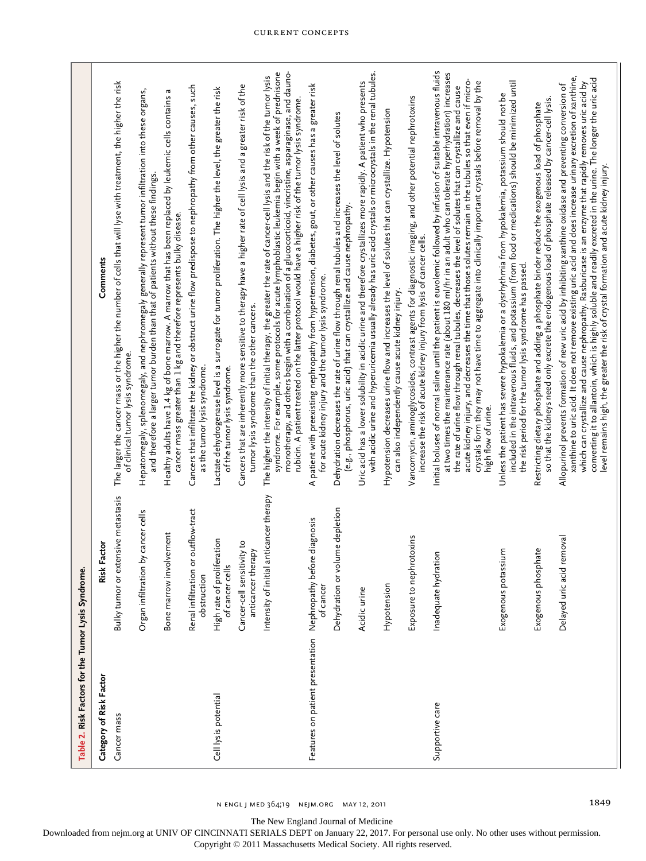| Table 2. Risk Factors for the Tumor Lysis Syndrome.           |                                                    |                                                                                                                                                                                                                                                                                                                                                                                                                                                                                                                                                                                                     |
|---------------------------------------------------------------|----------------------------------------------------|-----------------------------------------------------------------------------------------------------------------------------------------------------------------------------------------------------------------------------------------------------------------------------------------------------------------------------------------------------------------------------------------------------------------------------------------------------------------------------------------------------------------------------------------------------------------------------------------------------|
| Category of Risk Factor                                       | Risk Factor                                        | Comments                                                                                                                                                                                                                                                                                                                                                                                                                                                                                                                                                                                            |
| Cancer mass                                                   | Bulky tumor or extensive metastasis                | The larger the cancer mass or the higher the number of cells that will lyse with treatment, the higher the risk<br>of clinical tumor lysis syndrome.                                                                                                                                                                                                                                                                                                                                                                                                                                                |
|                                                               | Organ infiltration by cancer cells                 | Hepatomegaly, splenomegaly, and nephromegaly generally represent tumor infiltration into these organs,<br>and therefore a larger tumor burden than that of patients without these findings.                                                                                                                                                                                                                                                                                                                                                                                                         |
|                                                               | <b>volvement</b><br>Bone marrow in                 | Healthy adults have 1.4 kg of bone marrow. A marrow that has been replaced by leukemic cells contains a<br>cancer mass greater than 1 kg and therefore represents bulky disease.                                                                                                                                                                                                                                                                                                                                                                                                                    |
|                                                               | Renal infiltration or outflow-tract<br>obstruction | Cancers that infiltrate the kidney or obstruct urine flow predispose to nephropathy from other causes, such<br>as the tumor lysis syndrome.                                                                                                                                                                                                                                                                                                                                                                                                                                                         |
| Cell lysis potential                                          | High rate of proliferation<br>of cancer cells      | Lactate dehydrogenase level is a surrogate for tumor proliferation. The higher the level, the greater the risk<br>of the tumor lysis syndrome.                                                                                                                                                                                                                                                                                                                                                                                                                                                      |
|                                                               | Cancer-cell sensitivity to<br>anticancer therapy   | Cancers that are inherently more sensitive to therapy have a higher rate of cell lysis and a greater risk of the $\,$<br>tumor lysis syndrome than the other cancers.                                                                                                                                                                                                                                                                                                                                                                                                                               |
|                                                               | Intensity of initial anticancer therapy            | monotherapy, and others begin with a combination of a glucocorticoid, vincristine, asparaginase, and dauno-<br>syndrome. For example, some protocols for acute lymphoblastic leukemia begin with a week of prednisone<br>The higher the intensity of initial therapy, the greater the rate of cancer-cell lysis and the risk of the tumor lysis<br>rubicin. A patient treated on the latter protocol would have a higher risk of the turnor lysis syndrome.                                                                                                                                         |
| Features on patient presentation Nephropathy before diagnosis | of cancer                                          | patient with preexisting nephropathy from hypertension, diabetes, gout, or other causes has a greater risk<br>for acute kidney injury and the tumor lysis syndrome.<br>⋖                                                                                                                                                                                                                                                                                                                                                                                                                            |
|                                                               | volume depletion<br>Dehydration or                 | Dehydration decreases the rate of urine flow through renal tubules and increases the level of solutes<br>(e.g., phosphorus, uric acid) that can crystallize and cause nephropathy.                                                                                                                                                                                                                                                                                                                                                                                                                  |
|                                                               | Acidic urine                                       | with acidic urine and hyperuricemia usually already has uric acid crystals or microcrystals in the renal tubules.<br>Uric acid has a lower solubility in acidic urine and therefore crystallizes more rapidly. A patient who presents                                                                                                                                                                                                                                                                                                                                                               |
|                                                               | Hypotension                                        | Hypotension decreases urine flow and increases the level of solutes that can crystallize. Hypotension<br>can also independently cause acute kidney injury.                                                                                                                                                                                                                                                                                                                                                                                                                                          |
|                                                               | Exposure to nephrotoxins                           | Vancomycin, aminoglycosides, contrast agents for diagnostic imaging, and other potential nephrotoxins<br>increase the risk of acute kidney injury from lysis of cancer cells.                                                                                                                                                                                                                                                                                                                                                                                                                       |
| Supportive care                                               | Inadequate hydration                               | Initial boluses of normal saline until the patient is euvolemic followed by infusion of suitable intravenous fluids<br>at two times the maintenance rate (about 180 ml/hr in an adult who can tolerate hyperhydration) increases<br>acute kidney injury, and decreases the time that those solutes remain in the tubules so that even if micro-<br>crystals form they may not have time to aggregate into clinically important crystals before removal by the<br>the rate of urine flow through renal tubules, decreases the level of solutes that can crystallize and cause<br>high flow of urine. |
|                                                               | ssium<br>Exogenous pota                            | included in the intravenous fluids, and potassium (from food or medications) should be minimized until<br>Unless the patient has severe hypokalemia or a dysrhythmia from hypokalemia, potassium should not be<br>the risk period for the tumor lysis syndrome has passed.                                                                                                                                                                                                                                                                                                                          |
|                                                               | Exogenous phosphate                                | so that the kidneys need only excrete the endogenous load of phosphate released by cancer-cell lysis.<br>Restricting dietary phosphate and adding a phosphate binder reduce the exogenous load of phosphate                                                                                                                                                                                                                                                                                                                                                                                         |
|                                                               | Delayed uric acid removal                          | xanthine to uric acid. It does not remove existing uric acid and does increase urinary excretion of xanthine,<br>converting it to allantoin, which is highly soluble and readily excreted in the urine. The longer the uric acid<br>which can crystallize and cause nephropathy. Rasburicase is an enzyme that rapidly removes uric acid by<br>Allopurinol prevents formation of new uric acid by inhibiting xanthine oxidase and preventing conversion of<br>level remains high, the greater the risk of crystal formation and acute kidney injury.                                                |

The New England Journal of Medicine

Downloaded from nejm.org at UNIV OF CINCINNATI SERIALS DEPT on January 22, 2017. For personal use only. No other uses without permission.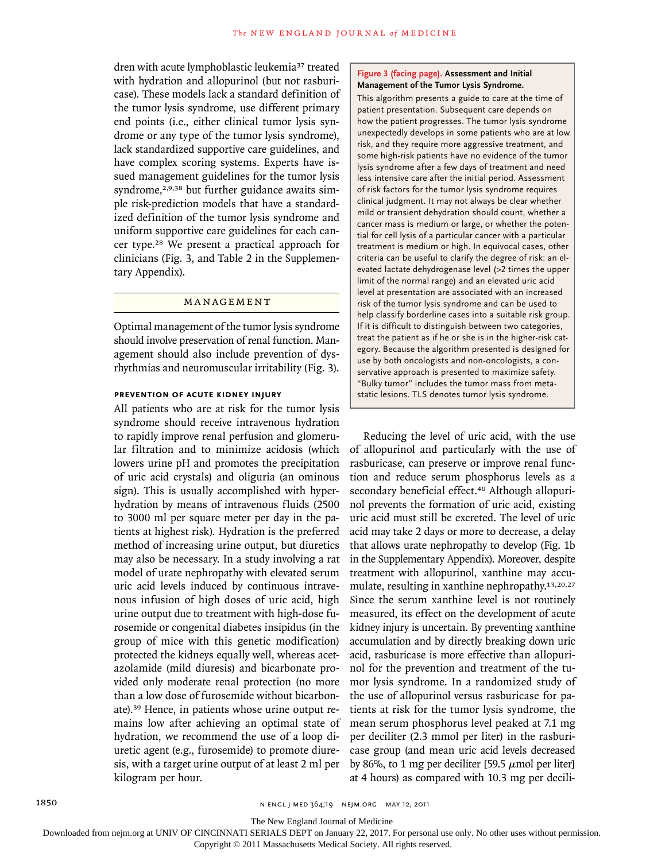dren with acute lymphoblastic leukemia<sup>37</sup> treated with hydration and allopurinol (but not rasburicase). These models lack a standard definition of the tumor lysis syndrome, use different primary end points (i.e., either clinical tumor lysis syndrome or any type of the tumor lysis syndrome), lack standardized supportive care guidelines, and have complex scoring systems. Experts have issued management guidelines for the tumor lysis syndrome,<sup>2,9,38</sup> but further guidance awaits simple risk-prediction models that have a standardized definition of the tumor lysis syndrome and uniform supportive care guidelines for each cancer type.28 We present a practical approach for clinicians (Fig. 3, and Table 2 in the Supplementary Appendix).

# **MANAGEMENT**

Optimal management of the tumor lysis syndrome should involve preservation of renal function. Management should also include prevention of dysrhythmias and neuromuscular irritability (Fig. 3).

## **Prevention of acute kidney injury**

All patients who are at risk for the tumor lysis syndrome should receive intravenous hydration to rapidly improve renal perfusion and glomerular filtration and to minimize acidosis (which lowers urine pH and promotes the precipitation of uric acid crystals) and oliguria (an ominous sign). This is usually accomplished with hyperhydration by means of intravenous fluids (2500 to 3000 ml per square meter per day in the patients at highest risk). Hydration is the preferred method of increasing urine output, but diuretics may also be necessary. In a study involving a rat model of urate nephropathy with elevated serum uric acid levels induced by continuous intravenous infusion of high doses of uric acid, high urine output due to treatment with high-dose furosemide or congenital diabetes insipidus (in the group of mice with this genetic modification) protected the kidneys equally well, whereas acetazolamide (mild diuresis) and bicarbonate provided only moderate renal protection (no more than a low dose of furosemide without bicarbonate).39 Hence, in patients whose urine output remains low after achieving an optimal state of hydration, we recommend the use of a loop diuretic agent (e.g., furosemide) to promote diuresis, with a target urine output of at least 2 ml per kilogram per hour.

## **Figure 3 (facing page). Assessment and Initial Management of the Tumor Lysis Syndrome.**

This algorithm presents a guide to care at the time of patient presentation. Subsequent care depends on how the patient progresses. The tumor lysis syndrome unexpectedly develops in some patients who are at low risk, and they require more aggressive treatment, and some high-risk patients have no evidence of the tumor lysis syndrome after a few days of treatment and need less intensive care after the initial period. Assessment of risk factors for the tumor lysis syndrome requires clinical judgment. It may not always be clear whether mild or transient dehydration should count, whether a cancer mass is medium or large, or whether the potential for cell lysis of a particular cancer with a particular treatment is medium or high. In equivocal cases, other criteria can be useful to clarify the degree of risk: an elevated lactate dehydrogenase level (>2 times the upper limit of the normal range) and an elevated uric acid level at presentation are associated with an increased risk of the tumor lysis syndrome and can be used to help classify borderline cases into a suitable risk group. If it is difficult to distinguish between two categories, treat the patient as if he or she is in the higher-risk category. Because the algorithm presented is designed for use by both oncologists and non-oncologists, a conservative approach is presented to maximize safety. "Bulky tumor" includes the tumor mass from metastatic lesions. TLS denotes tumor lysis syndrome.

Reducing the level of uric acid, with the use of allopurinol and particularly with the use of rasburicase, can preserve or improve renal function and reduce serum phosphorus levels as a secondary beneficial effect.<sup>40</sup> Although allopurinol prevents the formation of uric acid, existing uric acid must still be excreted. The level of uric acid may take 2 days or more to decrease, a delay that allows urate nephropathy to develop (Fig. 1b in the Supplementary Appendix). Moreover, despite treatment with allopurinol, xanthine may accumulate, resulting in xanthine nephropathy.13,20,27 Since the serum xanthine level is not routinely measured, its effect on the development of acute kidney injury is uncertain. By preventing xanthine accumulation and by directly breaking down uric acid, rasburicase is more effective than allopurinol for the prevention and treatment of the tumor lysis syndrome. In a randomized study of the use of allopurinol versus rasburicase for patients at risk for the tumor lysis syndrome, the mean serum phosphorus level peaked at 7.1 mg per deciliter (2.3 mmol per liter) in the rasburicase group (and mean uric acid levels decreased by 86%, to 1 mg per deciliter [59.5  $\mu$ mol per liter] at 4 hours) as compared with 10.3 mg per decili-

The New England Journal of Medicine

Downloaded from nejm.org at UNIV OF CINCINNATI SERIALS DEPT on January 22, 2017. For personal use only. No other uses without permission.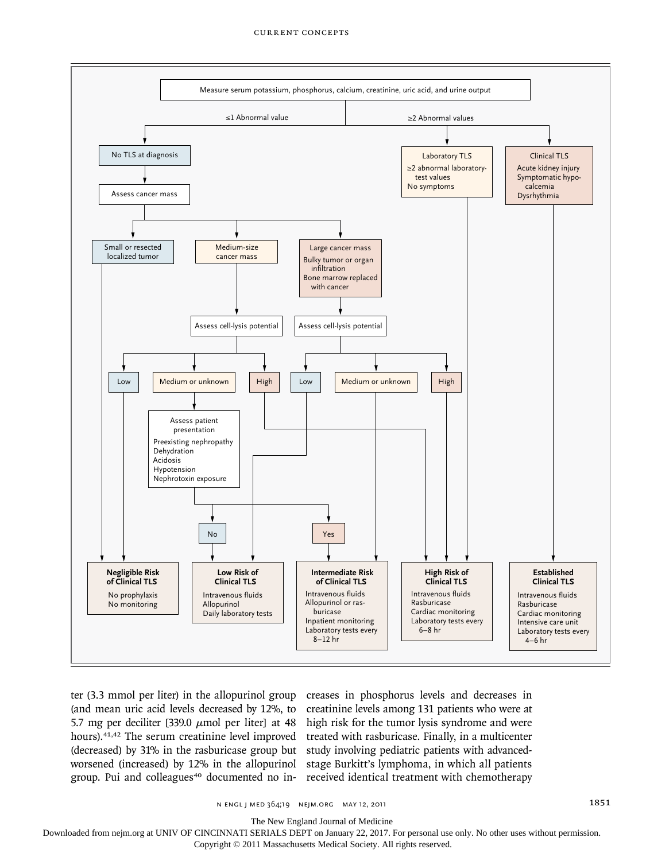#### current concepts



ter (3.3 mmol per liter) in the allopurinol group (and mean uric acid levels decreased by 12%, to 5.7 mg per deciliter [339.0  $\mu$ mol per liter] at 48 hours).41,42 The serum creatinine level improved (decreased) by 31% in the rasburicase group but worsened (increased) by 12% in the allopurinol group. Pui and colleagues<sup>40</sup> documented no in-

creases in phosphorus levels and decreases in creatinine levels among 131 patients who were at high risk for the tumor lysis syndrome and were treated with rasburicase. Finally, in a multicenter study involving pediatric patients with advancedstage Burkitt's lymphoma, in which all patients received identical treatment with chemotherapy

n engl j med 364;19 nejm.org may 12, 2011 1851 1851

The New England Journal of Medicine

Downloaded from nejm.org at UNIV OF CINCINNATI SERIALS DEPT on January 22, 2017. For personal use only. No other uses without permission.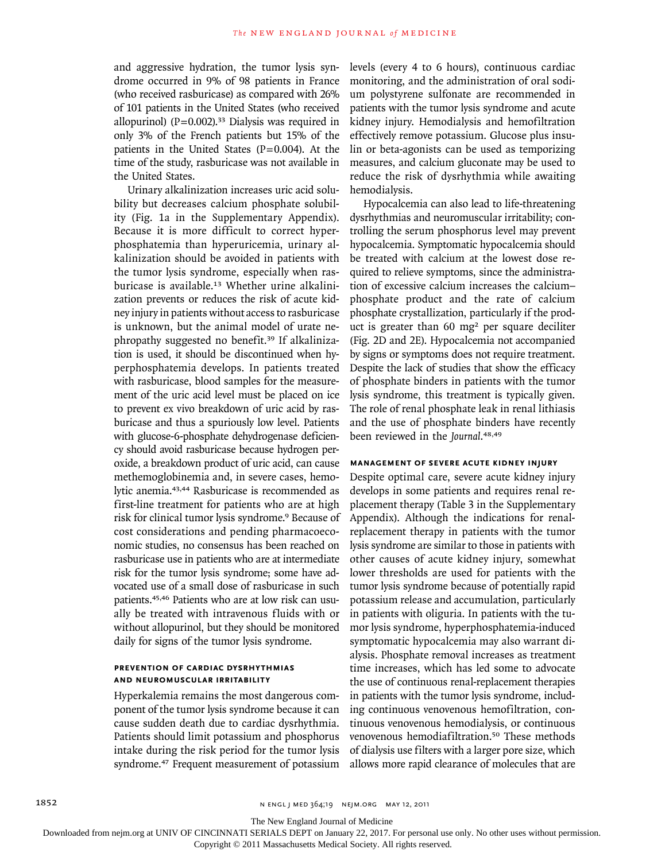and aggressive hydration, the tumor lysis syndrome occurred in 9% of 98 patients in France (who received rasburicase) as compared with 26% of 101 patients in the United States (who received allopurinol) ( $P=0.002$ ).<sup>33</sup> Dialysis was required in only 3% of the French patients but 15% of the patients in the United States  $(P=0.004)$ . At the time of the study, rasburicase was not available in the United States.

Urinary alkalinization increases uric acid solubility but decreases calcium phosphate solubility (Fig. 1a in the Supplementary Appendix). Because it is more difficult to correct hyperphosphatemia than hyperuricemia, urinary alkalinization should be avoided in patients with the tumor lysis syndrome, especially when rasburicase is available.<sup>13</sup> Whether urine alkalinization prevents or reduces the risk of acute kidney injury in patients without access to rasburicase is unknown, but the animal model of urate nephropathy suggested no benefit.39 If alkalinization is used, it should be discontinued when hyperphosphatemia develops. In patients treated with rasburicase, blood samples for the measurement of the uric acid level must be placed on ice to prevent ex vivo breakdown of uric acid by rasburicase and thus a spuriously low level. Patients with glucose-6-phosphate dehydrogenase deficiency should avoid rasburicase because hydrogen peroxide, a breakdown product of uric acid, can cause methemoglobinemia and, in severe cases, hemolytic anemia.43,44 Rasburicase is recommended as first-line treatment for patients who are at high risk for clinical tumor lysis syndrome.9 Because of cost considerations and pending pharmacoeconomic studies, no consensus has been reached on rasburicase use in patients who are at intermediate risk for the tumor lysis syndrome; some have advocated use of a small dose of rasburicase in such patients.45,46 Patients who are at low risk can usually be treated with intravenous fluids with or without allopurinol, but they should be monitored daily for signs of the tumor lysis syndrome.

# **Prevention of cardiac dysrhythmias and neuromuscular irritability**

Hyperkalemia remains the most dangerous component of the tumor lysis syndrome because it can cause sudden death due to cardiac dysrhythmia. Patients should limit potassium and phosphorus intake during the risk period for the tumor lysis syndrome.47 Frequent measurement of potassium levels (every 4 to 6 hours), continuous cardiac monitoring, and the administration of oral sodium polystyrene sulfonate are recommended in patients with the tumor lysis syndrome and acute kidney injury. Hemodialysis and hemofiltration effectively remove potassium. Glucose plus insulin or beta-agonists can be used as temporizing measures, and calcium gluconate may be used to reduce the risk of dysrhythmia while awaiting hemodialysis.

Hypocalcemia can also lead to life-threatening dysrhythmias and neuromuscular irritability; controlling the serum phosphorus level may prevent hypocalcemia. Symptomatic hypocalcemia should be treated with calcium at the lowest dose required to relieve symptoms, since the administration of excessive calcium increases the calcium– phosphate product and the rate of calcium phosphate crystallization, particularly if the product is greater than 60 mg<sup>2</sup> per square deciliter (Fig. 2D and 2E). Hypocalcemia not accompanied by signs or symptoms does not require treatment. Despite the lack of studies that show the efficacy of phosphate binders in patients with the tumor lysis syndrome, this treatment is typically given. The role of renal phosphate leak in renal lithiasis and the use of phosphate binders have recently been reviewed in the *Journal*. 48,49

# **Management of severe acute kidney injury**

Despite optimal care, severe acute kidney injury develops in some patients and requires renal replacement therapy (Table 3 in the Supplementary Appendix). Although the indications for renalreplacement therapy in patients with the tumor lysis syndrome are similar to those in patients with other causes of acute kidney injury, somewhat lower thresholds are used for patients with the tumor lysis syndrome because of potentially rapid potassium release and accumulation, particularly in patients with oliguria. In patients with the tumor lysis syndrome, hyperphosphatemia-induced symptomatic hypocalcemia may also warrant dialysis. Phosphate removal increases as treatment time increases, which has led some to advocate the use of continuous renal-replacement therapies in patients with the tumor lysis syndrome, including continuous venovenous hemofiltration, continuous venovenous hemodialysis, or continuous venovenous hemodiafiltration.<sup>50</sup> These methods of dialysis use filters with a larger pore size, which allows more rapid clearance of molecules that are

The New England Journal of Medicine

Downloaded from nejm.org at UNIV OF CINCINNATI SERIALS DEPT on January 22, 2017. For personal use only. No other uses without permission.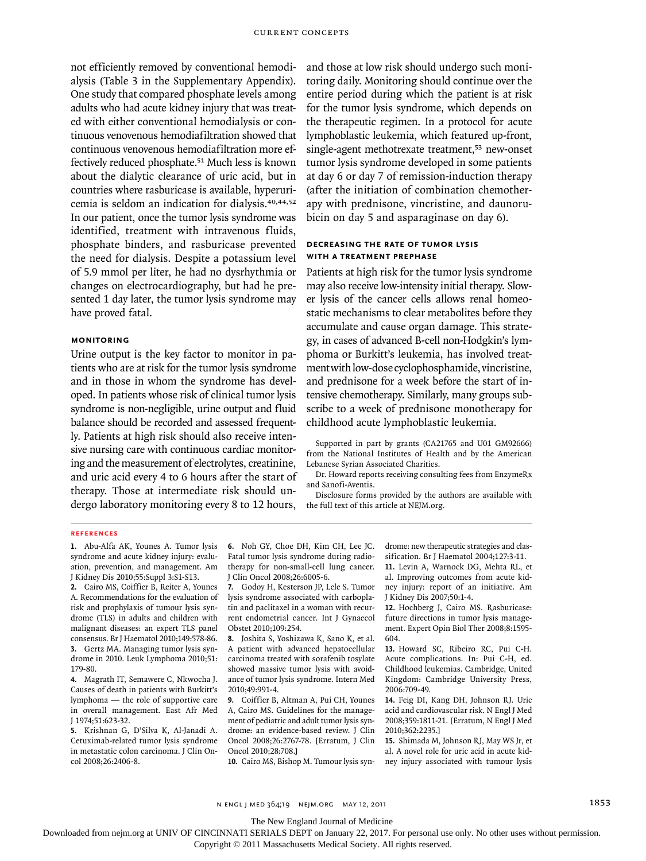not efficiently removed by conventional hemodialysis (Table 3 in the Supplementary Appendix). One study that compared phosphate levels among adults who had acute kidney injury that was treated with either conventional hemodialysis or continuous venovenous hemodiafiltration showed that continuous venovenous hemodiafiltration more effectively reduced phosphate.51 Much less is known about the dialytic clearance of uric acid, but in countries where rasburicase is available, hyperuricemia is seldom an indication for dialysis.40,44,52 In our patient, once the tumor lysis syndrome was identified, treatment with intravenous fluids, phosphate binders, and rasburicase prevented the need for dialysis. Despite a potassium level of 5.9 mmol per liter, he had no dysrhythmia or changes on electrocardiography, but had he presented 1 day later, the tumor lysis syndrome may have proved fatal.

## **Monitoring**

Urine output is the key factor to monitor in patients who are at risk for the tumor lysis syndrome and in those in whom the syndrome has developed. In patients whose risk of clinical tumor lysis syndrome is non-negligible, urine output and fluid balance should be recorded and assessed frequently. Patients at high risk should also receive intensive nursing care with continuous cardiac monitoring and the measurement of electrolytes, creatinine, and uric acid every 4 to 6 hours after the start of therapy. Those at intermediate risk should undergo laboratory monitoring every 8 to 12 hours, and those at low risk should undergo such monitoring daily. Monitoring should continue over the entire period during which the patient is at risk for the tumor lysis syndrome, which depends on the therapeutic regimen. In a protocol for acute lymphoblastic leukemia, which featured up-front, single-agent methotrexate treatment,<sup>53</sup> new-onset tumor lysis syndrome developed in some patients at day 6 or day 7 of remission-induction therapy (after the initiation of combination chemotherapy with prednisone, vincristine, and daunorubicin on day 5 and asparaginase on day 6).

## **Decreasing the rate of tumor lysis with a treatment prephase**

Patients at high risk for the tumor lysis syndrome may also receive low-intensity initial therapy. Slower lysis of the cancer cells allows renal homeostatic mechanisms to clear metabolites before they accumulate and cause organ damage. This strategy, in cases of advanced B-cell non-Hodgkin's lymphoma or Burkitt's leukemia, has involved treatment with low-dose cyclophosphamide, vincristine, and prednisone for a week before the start of intensive chemotherapy. Similarly, many groups subscribe to a week of prednisone monotherapy for childhood acute lymphoblastic leukemia.

Supported in part by grants (CA21765 and U01 GM92666) from the National Institutes of Health and by the American Lebanese Syrian Associated Charities.

Dr. Howard reports receiving consulting fees from EnzymeRx and Sanofi-Aventis.

Disclosure forms provided by the authors are available with the full text of this article at NEJM.org.

#### **References**

**1.** Abu-Alfa AK, Younes A. Tumor lysis syndrome and acute kidney injury: evaluation, prevention, and management. Am J Kidney Dis 2010;55:Suppl 3:S1-S13.

**2.** Cairo MS, Coiffier B, Reiter A, Younes A. Recommendations for the evaluation of risk and prophylaxis of tumour lysis syndrome (TLS) in adults and children with malignant diseases: an expert TLS panel consensus. Br J Haematol 2010;149:578-86. **3.** Gertz MA. Managing tumor lysis syndrome in 2010. Leuk Lymphoma 2010;51: 179-80.

**4.** Magrath IT, Semawere C, Nkwocha J. Causes of death in patients with Burkitt's lymphoma — the role of supportive care in overall management. East Afr Med J 1974;51:623-32.

**5.** Krishnan G, D'Silva K, Al-Janadi A. Cetuximab-related tumor lysis syndrome in metastatic colon carcinoma. J Clin Oncol 2008;26:2406-8.

**6.** Noh GY, Choe DH, Kim CH, Lee JC. Fatal tumor lysis syndrome during radiotherapy for non-small-cell lung cancer. J Clin Oncol 2008;26:6005-6.

**7.** Godoy H, Kesterson JP, Lele S. Tumor lysis syndrome associated with carboplatin and paclitaxel in a woman with recurrent endometrial cancer. Int J Gynaecol Obstet 2010;109:254.

**8.** Joshita S, Yoshizawa K, Sano K, et al. A patient with advanced hepatocellular carcinoma treated with sorafenib tosylate showed massive tumor lysis with avoidance of tumor lysis syndrome. Intern Med 2010;49:991-4.

**9.** Coiffier B, Altman A, Pui CH, Younes A, Cairo MS. Guidelines for the management of pediatric and adult tumor lysis syndrome: an evidence-based review. J Clin Oncol 2008;26:2767-78. [Erratum, J Clin Oncol 2010;28:708.]

**10.** Cairo MS, Bishop M. Tumour lysis syn-

drome: new therapeutic strategies and classification. Br J Haematol 2004;127:3-11. **11.** Levin A, Warnock DG, Mehta RL, et al. Improving outcomes from acute kid-

ney injury: report of an initiative. Am J Kidney Dis 2007;50:1-4.

**12.** Hochberg J, Cairo MS. Rasburicase: future directions in tumor lysis management. Expert Opin Biol Ther 2008;8:1595- 604.

**13.** Howard SC, Ribeiro RC, Pui C-H. Acute complications. In: Pui C-H, ed. Childhood leukemias. Cambridge, United Kingdom: Cambridge University Press, 2006:709-49.

**14.** Feig DI, Kang DH, Johnson RJ. Uric acid and cardiovascular risk. N Engl J Med 2008;359:1811-21. [Erratum, N Engl J Med 2010;362:2235.]

**15.** Shimada M, Johnson RJ, May WS Jr, et al. A novel role for uric acid in acute kidney injury associated with tumour lysis

The New England Journal of Medicine

Downloaded from nejm.org at UNIV OF CINCINNATI SERIALS DEPT on January 22, 2017. For personal use only. No other uses without permission.